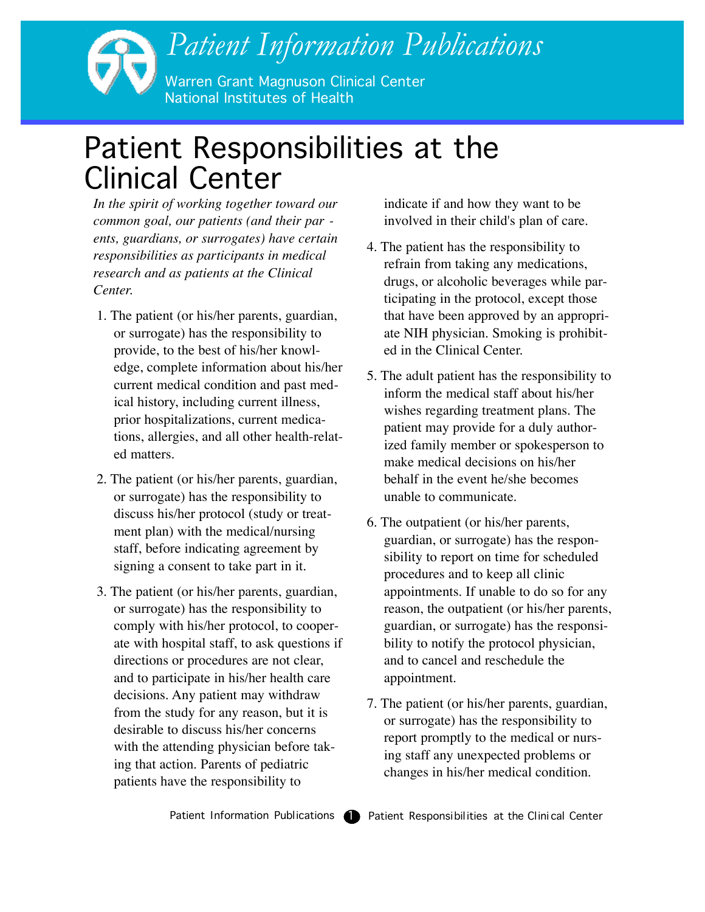## *Patient Information Publications* Warren Grant Magnuson Clinical Center National Institutes of Health

## Patient Responsibilities at the Clinical Center

*In the spirit of working together toward our common goal, our patients (and their par ents, guardians, or surrogates) have certain responsibilities as participants in medical research and as patients at the Clinical Center.*

- 1. The patient (or his/her parents, guardian, or surrogate) has the responsibility to provide, to the best of his/her knowledge, complete information about his/her current medical condition and past medical history, including current illness, prior hospitalizations, current medications, allergies, and all other health-related matters.
- 2. The patient (or his/her parents, guardian, or surrogate) has the responsibility to discuss his/her protocol (study or treatment plan) with the medical/nursing staff, before indicating agreement by signing a consent to take part in it.
- 3. The patient (or his/her parents, guardian, or surrogate) has the responsibility to comply with his/her protocol, to cooperate with hospital staff, to ask questions if directions or procedures are not clear, and to participate in his/her health care decisions. Any patient may withdraw from the study for any reason, but it is desirable to discuss his/her concerns with the attending physician before taking that action. Parents of pediatric patients have the responsibility to

indicate if and how they want to be involved in their child's plan of care.

- 4. The patient has the responsibility to refrain from taking any medications, drugs, or alcoholic beverages while participating in the protocol, except those that have been approved by an appropriate NIH physician. Smoking is prohibited in the Clinical Center.
- 5. The adult patient has the responsibility to inform the medical staff about his/her wishes regarding treatment plans. The patient may provide for a duly authorized family member or spokesperson to make medical decisions on his/her behalf in the event he/she becomes unable to communicate.
- 6. The outpatient (or his/her parents, guardian, or surrogate) has the responsibility to report on time for scheduled procedures and to keep all clinic appointments. If unable to do so for any reason, the outpatient (or his/her parents, guardian, or surrogate) has the responsibility to notify the protocol physician, and to cancel and reschedule the appointment.
- 7. The patient (or his/her parents, guardian, or surrogate) has the responsibility to report promptly to the medical or nursing staff any unexpected problems or changes in his/her medical condition.

Patient Information Publications  $\bigcirc$  Patient Responsibilities at the Clinical Center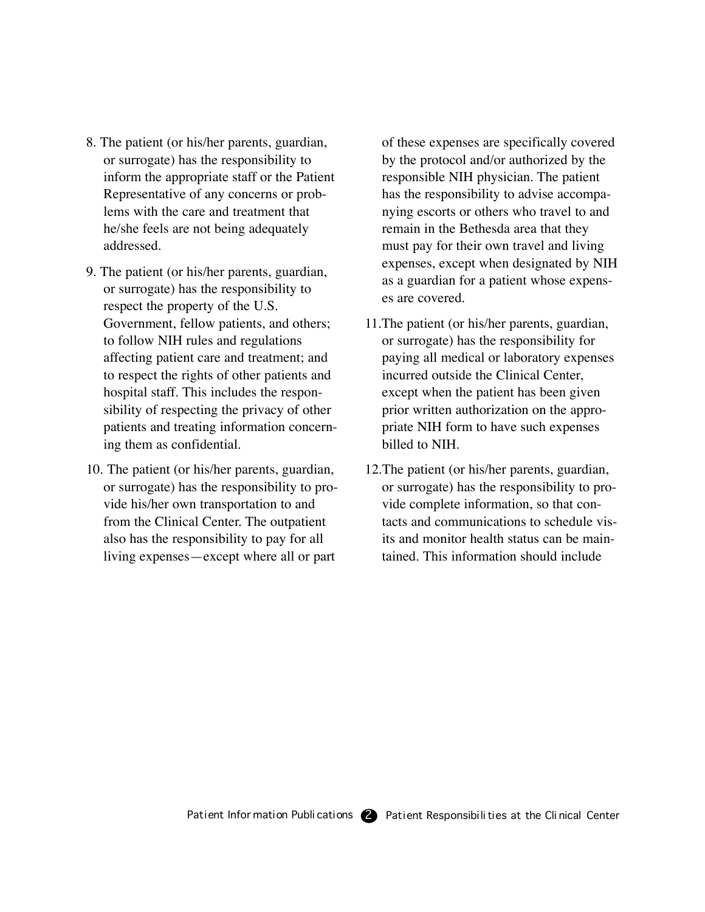- 8. The patient (or his/her parents, guardian, or surrogate) has the responsibility to inform the appropriate staff or the Patient Representative of any concerns or problems with the care and treatment that he/she feels are not being adequately addressed.
- 9. The patient (or his/her parents, guardian, or surrogate) has the responsibility to respect the property of the U.S. Government, fellow patients, and others; to follow NIH rules and regulations affecting patient care and treatment; and to respect the rights of other patients and hospital staff. This includes the responsibility of respecting the privacy of other patients and treating information concerning them as confidential.
- 10. The patient (or his/her parents, guardian, or surrogate) has the responsibility to provide his/her own transportation to and from the Clinical Center. The outpatient also has the responsibility to pay for all living expenses—except where all or part

of these expenses are specifically covered by the protocol and/or authorized by the responsible NIH physician. The patient has the responsibility to advise accompanying escorts or others who travel to and remain in the Bethesda area that they must pay for their own travel and living expenses, except when designated by NIH as a guardian for a patient whose expenses are covered.

- 11.The patient (or his/her parents, guardian, or surrogate) has the responsibility for paying all medical or laboratory expenses incurred outside the Clinical Center, except when the patient has been given prior written authorization on the appropriate NIH form to have such expenses billed to NIH.
- 12.The patient (or his/her parents, guardian, or surrogate) has the responsibility to provide complete information, so that contacts and communications to schedule visits and monitor health status can be maintained. This information should include